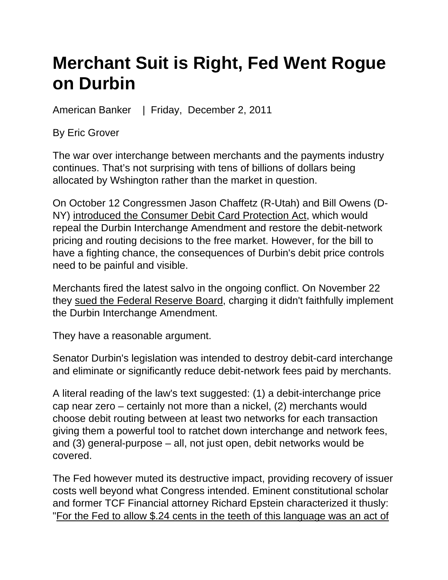## **Merchant Suit is Right, Fed Went Rogue on Durbin**

American Banker | Friday, December 2, 2011

By Eric Grover

The war over interchange between merchants and the payments industry continues. That's not surprising with tens of billions of dollars being allocated by Wshington rather than the market in question.

On October 12 Congressmen Jason Chaffetz (R-Utah) and Bill Owens (D-NY) introduced the Consumer Debit Card Protection Act, which would repeal the Durbin Interchange Amendment and restore the debit-network pricing and routing decisions to the free market. However, for the bill to have a fighting chance, the consequences of Durbin's debit price controls need to be painful and visible.

Merchants fired the latest salvo in the ongoing conflict. On November 22 they sued the Federal Reserve Board, charging it didn't faithfully implement the Durbin Interchange Amendment.

They have a reasonable argument.

Senator Durbin's legislation was intended to destroy debit-card interchange and eliminate or significantly reduce debit-network fees paid by merchants.

A literal reading of the law's text suggested: (1) a debit-interchange price cap near zero – certainly not more than a nickel, (2) merchants would choose debit routing between at least two networks for each transaction giving them a powerful tool to ratchet down interchange and network fees, and (3) general-purpose – all, not just open, debit networks would be covered.

The Fed however muted its destructive impact, providing recovery of issuer costs well beyond what Congress intended. Eminent constitutional scholar and former TCF Financial attorney Richard Epstein characterized it thusly: "For the Fed to allow \$.24 cents in the teeth of this language was an act of